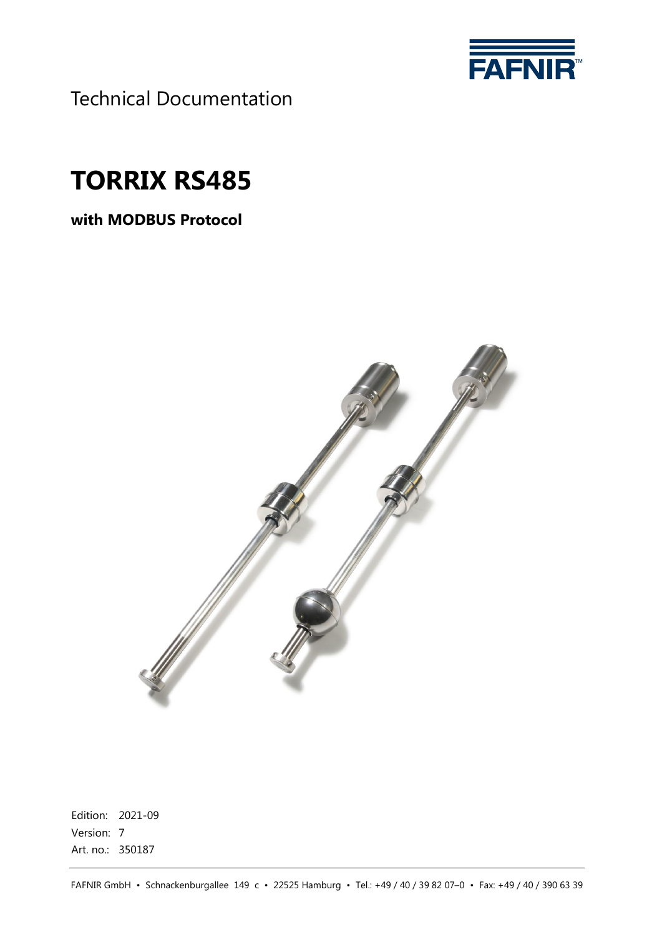

Technical Documentation

# **TORRIX RS485**

**with MODBUS Protocol**



Edition: 2021-09 Version: 7 Art. no.: 350187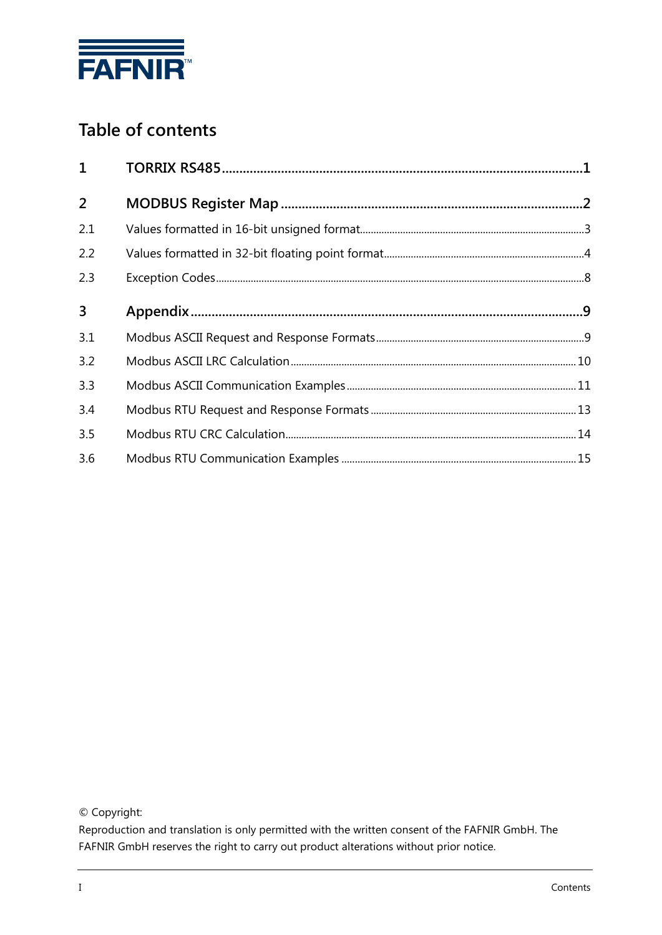

# **Table of contents**

© Copyright:

Reproduction and translation is only permitted with the written consent of the FAFNIR GmbH. The FAFNIR GmbH reserves the right to carry out product alterations without prior notice.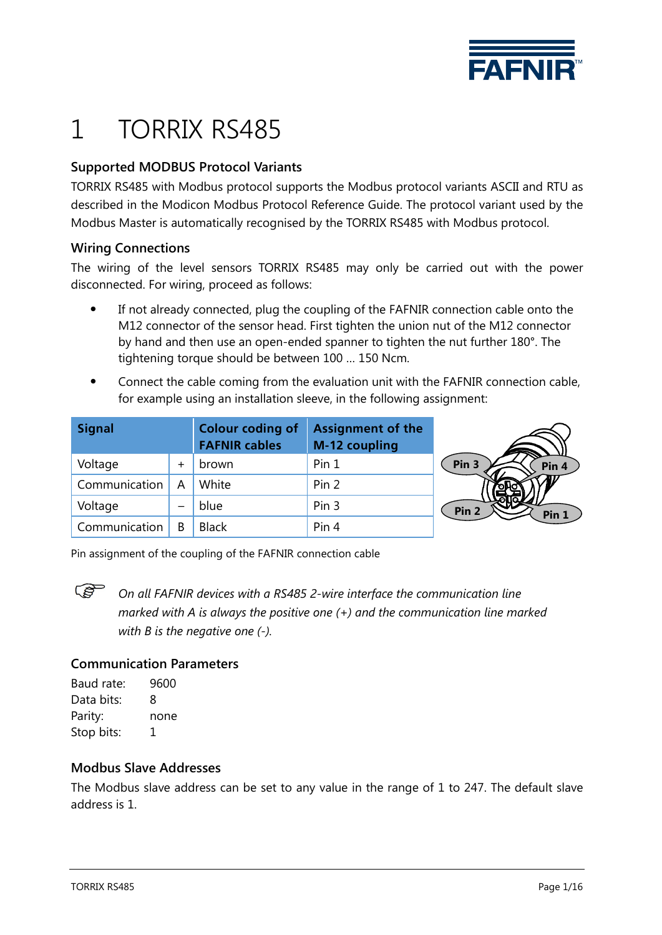

# <span id="page-2-0"></span>1 TORRIX RS485

## **Supported MODBUS Protocol Variants**

TORRIX RS485 with Modbus protocol supports the Modbus protocol variants ASCII and RTU as described in the Modicon Modbus Protocol Reference Guide. The protocol variant used by the Modbus Master is automatically recognised by the TORRIX RS485 with Modbus protocol.

## **Wiring Connections**

The wiring of the level sensors TORRIX RS485 may only be carried out with the power disconnected. For wiring, proceed as follows:

- If not already connected, plug the coupling of the FAFNIR connection cable onto the M12 connector of the sensor head. First tighten the union nut of the M12 connector by hand and then use an open-ended spanner to tighten the nut further 180°. The tightening torque should be between 100 … 150 Ncm.
- Connect the cable coming from the evaluation unit with the FAFNIR connection cable, for example using an installation sleeve, in the following assignment:

| <b>Signal</b> |                | <b>Colour coding of</b><br><b>FAFNIR cables</b> | <b>Assignment of the</b><br>M-12 coupling |
|---------------|----------------|-------------------------------------------------|-------------------------------------------|
| Voltage       | $\overline{+}$ | brown                                           | Pin 1                                     |
| Communication | A              | White                                           | Pin 2                                     |
| Voltage       | –              | blue                                            | Pin 3                                     |
| Communication | B              | <b>Black</b>                                    | Pin 4                                     |

Pin assignment of the coupling of the FAFNIR connection cable

**PE** *On all FAFNIR devices with a RS485 2-wire interface the communication line marked with A is always the positive one (+) and the communication line marked with B is the negative one (-).*

#### **Communication Parameters**

| Baud rate: | 9600 |
|------------|------|
| Data bits: | 8    |
| Parity:    | none |
| Stop bits: | 1    |

## **Modbus Slave Addresses**

The Modbus slave address can be set to any value in the range of 1 to 247. The default slave address is 1.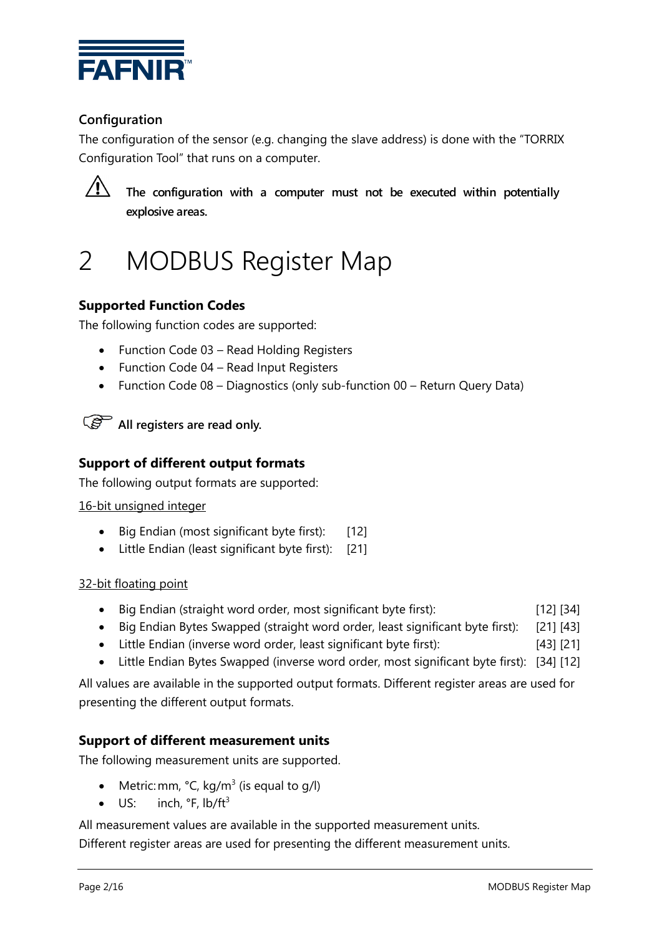

## **Configuration**

The configuration of the sensor (e.g. changing the slave address) is done with the "TORRIX Configuration Tool" that runs on a computer.



**The configuration with a computer must not be executed within potentially explosive areas.**

# <span id="page-3-0"></span>2 MODBUS Register Map

## **Supported Function Codes**

The following function codes are supported:

- Function Code 03 Read Holding Registers
- Function Code 04 Read Input Registers
- Function Code 08 Diagnostics (only sub-function 00 Return Query Data)

# **All registers are read only.**

## **Support of different output formats**

The following output formats are supported:

#### 16-bit unsigned integer

- Big Endian (most significant byte first): [12]
- Little Endian (least significant byte first): [21]

#### 32-bit floating point

- Big Endian (straight word order, most significant byte first): [12] [34]
- Big Endian Bytes Swapped (straight word order, least significant byte first): [21] [43]
- Little Endian (inverse word order, least significant byte first): [43] [21]
- Little Endian Bytes Swapped (inverse word order, most significant byte first): [34] [12]

All values are available in the supported output formats. Different register areas are used for presenting the different output formats.

## **Support of different measurement units**

The following measurement units are supported.

- Metric: mm,  $^{\circ}$ C, kg/m<sup>3</sup> (is equal to g/l)
- US:  $inch, °F, lb/ft<sup>3</sup>$

All measurement values are available in the supported measurement units.

Different register areas are used for presenting the different measurement units.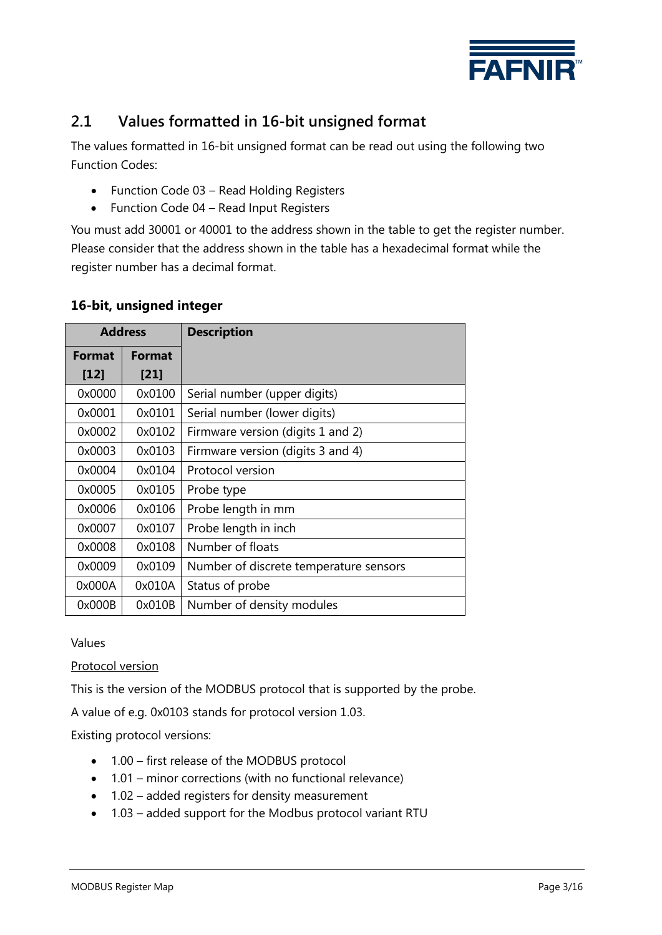

# <span id="page-4-0"></span>**2.1 Values formatted in 16-bit unsigned format**

The values formatted in 16-bit unsigned format can be read out using the following two Function Codes:

- Function Code 03 Read Holding Registers
- Function Code 04 Read Input Registers

You must add 30001 or 40001 to the address shown in the table to get the register number. Please consider that the address shown in the table has a hexadecimal format while the register number has a decimal format.

#### **16-bit, unsigned integer**

|               | <b>Address</b> | <b>Description</b>                     |
|---------------|----------------|----------------------------------------|
| <b>Format</b> | <b>Format</b>  |                                        |
| $[12]$        | $[21]$         |                                        |
| 0x0000        | 0x0100         | Serial number (upper digits)           |
| 0x0001        | 0x0101         | Serial number (lower digits)           |
| 0x0002        | 0x0102         | Firmware version (digits 1 and 2)      |
| 0x0003        | 0x0103         | Firmware version (digits 3 and 4)      |
| 0x0004        | 0x0104         | Protocol version                       |
| 0x0005        | 0x0105         | Probe type                             |
| 0x0006        | 0x0106         | Probe length in mm                     |
| 0x0007        | 0x0107         | Probe length in inch                   |
| 0x0008        | 0x0108         | Number of floats                       |
| 0x0009        | 0x0109         | Number of discrete temperature sensors |
| 0x000A        | 0x010A         | Status of probe                        |
| 0x000B        | 0x010B         | Number of density modules              |

#### Values

#### Protocol version

This is the version of the MODBUS protocol that is supported by the probe.

A value of e.g. 0x0103 stands for protocol version 1.03.

Existing protocol versions:

- 1.00 first release of the MODBUS protocol
- 1.01 minor corrections (with no functional relevance)
- 1.02 added registers for density measurement
- 1.03 added support for the Modbus protocol variant RTU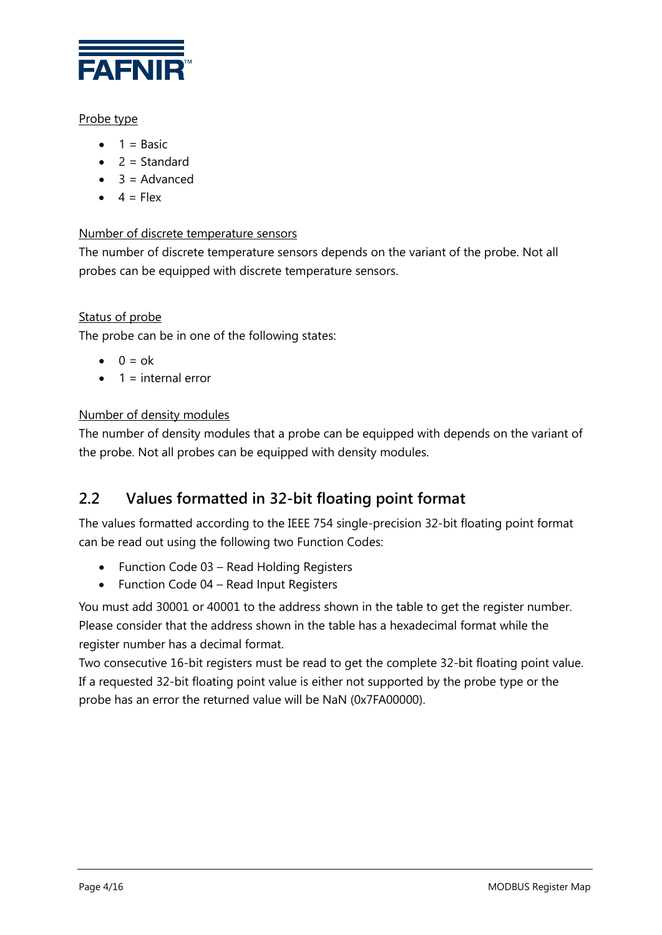

## Probe type

- $\bullet$  1 = Basic
- $2 = Standard$
- $\bullet$  3 = Advanced
- $\bullet$  4 = Flex

## Number of discrete temperature sensors

The number of discrete temperature sensors depends on the variant of the probe. Not all probes can be equipped with discrete temperature sensors.

## Status of probe

The probe can be in one of the following states:

- $\bullet$  0 = ok
- $\bullet$  1 = internal error

## Number of density modules

The number of density modules that a probe can be equipped with depends on the variant of the probe. Not all probes can be equipped with density modules.

# <span id="page-5-0"></span>**2.2 Values formatted in 32-bit floating point format**

The values formatted according to the IEEE 754 single-precision 32-bit floating point format can be read out using the following two Function Codes:

- Function Code 03 Read Holding Registers
- Function Code 04 Read Input Registers

You must add 30001 or 40001 to the address shown in the table to get the register number. Please consider that the address shown in the table has a hexadecimal format while the register number has a decimal format.

Two consecutive 16-bit registers must be read to get the complete 32-bit floating point value. If a requested 32-bit floating point value is either not supported by the probe type or the probe has an error the returned value will be NaN (0x7FA00000).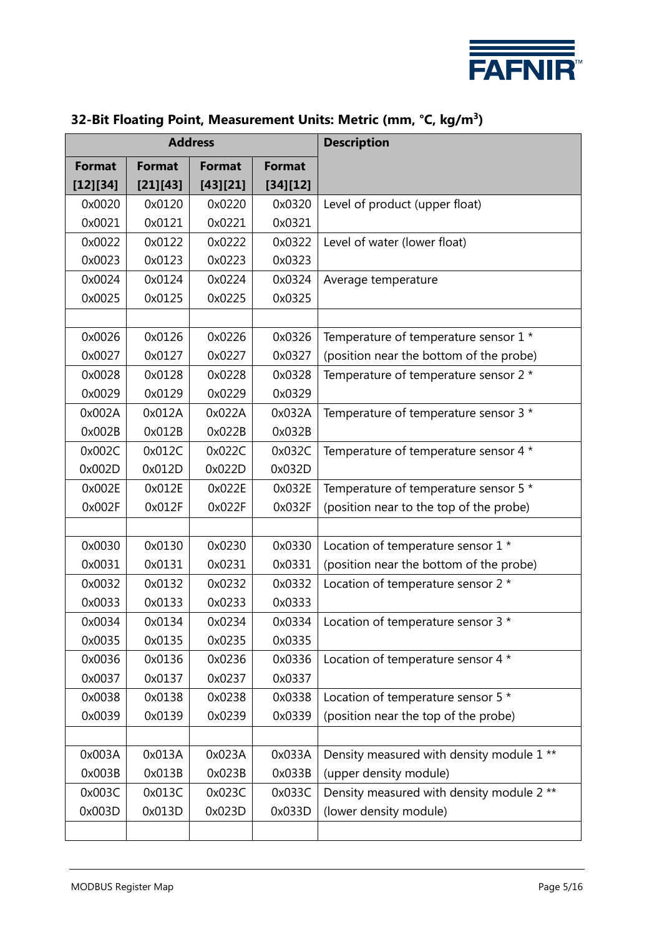

| <b>Address</b> |               |               | <b>Description</b> |                                           |
|----------------|---------------|---------------|--------------------|-------------------------------------------|
| <b>Format</b>  | <b>Format</b> | <b>Format</b> | <b>Format</b>      |                                           |
| [12][34]       | [21][43]      | [43][21]      | [34][12]           |                                           |
| 0x0020         | 0x0120        | 0x0220        | 0x0320             | Level of product (upper float)            |
| 0x0021         | 0x0121        | 0x0221        | 0x0321             |                                           |
| 0x0022         | 0x0122        | 0x0222        | 0x0322             | Level of water (lower float)              |
| 0x0023         | 0x0123        | 0x0223        | 0x0323             |                                           |
| 0x0024         | 0x0124        | 0x0224        | 0x0324             | Average temperature                       |
| 0x0025         | 0x0125        | 0x0225        | 0x0325             |                                           |
|                |               |               |                    |                                           |
| 0x0026         | 0x0126        | 0x0226        | 0x0326             | Temperature of temperature sensor 1 *     |
| 0x0027         | 0x0127        | 0x0227        | 0x0327             | (position near the bottom of the probe)   |
| 0x0028         | 0x0128        | 0x0228        | 0x0328             | Temperature of temperature sensor 2 *     |
| 0x0029         | 0x0129        | 0x0229        | 0x0329             |                                           |
| 0x002A         | 0x012A        | 0x022A        | 0x032A             | Temperature of temperature sensor 3 *     |
| 0x002B         | 0x012B        | 0x022B        | 0x032B             |                                           |
| 0x002C         | 0x012C        | 0x022C        | 0x032C             | Temperature of temperature sensor 4 *     |
| 0x002D         | 0x012D        | 0x022D        | 0x032D             |                                           |
| 0x002E         | 0x012E        | 0x022E        | 0x032E             | Temperature of temperature sensor 5 *     |
| 0x002F         | 0x012F        | 0x022F        | 0x032F             | (position near to the top of the probe)   |
|                |               |               |                    |                                           |
| 0x0030         | 0x0130        | 0x0230        | 0x0330             | Location of temperature sensor 1 *        |
| 0x0031         | 0x0131        | 0x0231        | 0x0331             | (position near the bottom of the probe)   |
| 0x0032         | 0x0132        | 0x0232        | 0x0332             | Location of temperature sensor 2 *        |
| 0x0033         | 0x0133        | 0x0233        | 0x0333             |                                           |
| 0x0034         | 0x0134        | 0x0234        | 0x0334             | Location of temperature sensor 3 *        |
| 0x0035         | 0x0135        | 0x0235        | 0x0335             |                                           |
| 0x0036         | 0x0136        | 0x0236        | 0x0336             | Location of temperature sensor 4 *        |
| 0x0037         | 0x0137        | 0x0237        | 0x0337             |                                           |
| 0x0038         | 0x0138        | 0x0238        | 0x0338             | Location of temperature sensor 5 *        |
| 0x0039         | 0x0139        | 0x0239        | 0x0339             | (position near the top of the probe)      |
|                |               |               |                    |                                           |
| 0x003A         | 0x013A        | 0x023A        | 0x033A             | Density measured with density module 1 ** |
| 0x003B         | 0x013B        | 0x023B        | 0x033B             | (upper density module)                    |
| 0x003C         | 0x013C        | 0x023C        | 0x033C             | Density measured with density module 2 ** |
| 0x003D         | 0x013D        | 0x023D        | 0x033D             | (lower density module)                    |
|                |               |               |                    |                                           |

# **32-Bit Floating Point, Measurement Units: Metric (mm, °C, kg/m3)**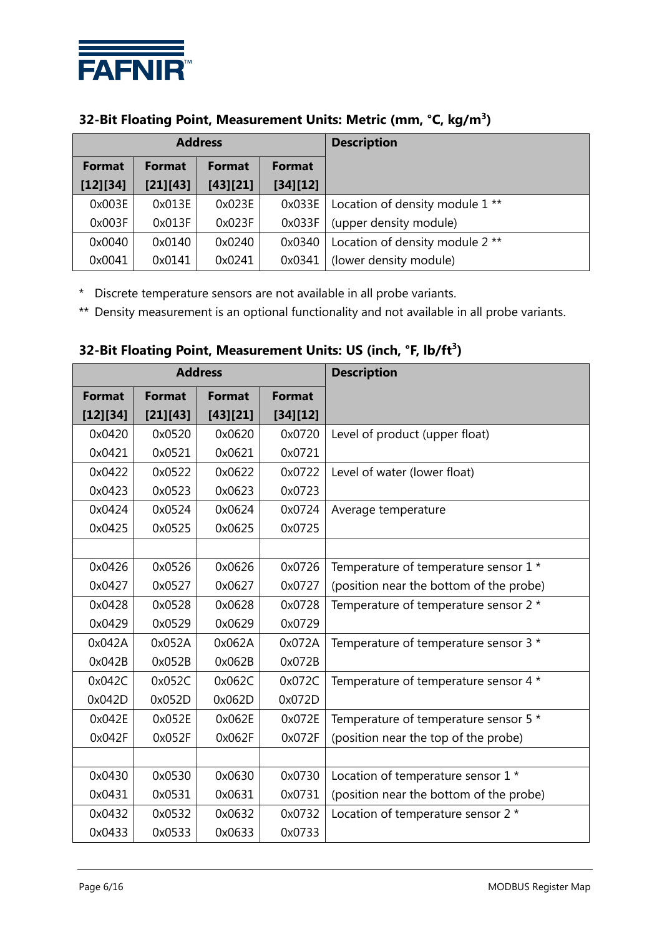

| <b>Address</b> |               |               |               | <b>Description</b>              |
|----------------|---------------|---------------|---------------|---------------------------------|
| <b>Format</b>  | <b>Format</b> | <b>Format</b> | <b>Format</b> |                                 |
| [12][34]       | [21][43]      | [43][21]      | [34][12]      |                                 |
| 0x003E         | 0x013E        | 0x023E        | 0x033E        | Location of density module 1 ** |
| 0x003F         | 0x013F        | 0x023F        | 0x033F        | (upper density module)          |
| 0x0040         | 0x0140        | 0x0240        | 0x0340        | Location of density module 2 ** |
| 0x0041         | 0x0141        | 0x0241        | 0x0341        | (lower density module)          |

# **32-Bit Floating Point, Measurement Units: Metric (mm, °C, kg/m3)**

\* Discrete temperature sensors are not available in all probe variants.

\*\* Density measurement is an optional functionality and not available in all probe variants.

| <b>Address</b> |               |               | <b>Description</b> |                                         |
|----------------|---------------|---------------|--------------------|-----------------------------------------|
| <b>Format</b>  | <b>Format</b> | <b>Format</b> | <b>Format</b>      |                                         |
| [12][34]       | [21][43]      | [43][21]      | [34][12]           |                                         |
| 0x0420         | 0x0520        | 0x0620        | 0x0720             | Level of product (upper float)          |
| 0x0421         | 0x0521        | 0x0621        | 0x0721             |                                         |
| 0x0422         | 0x0522        | 0x0622        | 0x0722             | Level of water (lower float)            |
| 0x0423         | 0x0523        | 0x0623        | 0x0723             |                                         |
| 0x0424         | 0x0524        | 0x0624        | 0x0724             | Average temperature                     |
| 0x0425         | 0x0525        | 0x0625        | 0x0725             |                                         |
|                |               |               |                    |                                         |
| 0x0426         | 0x0526        | 0x0626        | 0x0726             | Temperature of temperature sensor 1 *   |
| 0x0427         | 0x0527        | 0x0627        | 0x0727             | (position near the bottom of the probe) |
| 0x0428         | 0x0528        | 0x0628        | 0x0728             | Temperature of temperature sensor 2 *   |
| 0x0429         | 0x0529        | 0x0629        | 0x0729             |                                         |
| 0x042A         | 0x052A        | 0x062A        | 0x072A             | Temperature of temperature sensor 3 *   |
| 0x042B         | 0x052B        | 0x062B        | 0x072B             |                                         |
| 0x042C         | 0x052C        | 0x062C        | 0x072C             | Temperature of temperature sensor 4 *   |
| 0x042D         | 0x052D        | 0x062D        | 0x072D             |                                         |
| 0x042E         | 0x052E        | 0x062E        | 0x072E             | Temperature of temperature sensor 5 *   |
| 0x042F         | 0x052F        | 0x062F        | 0x072F             | (position near the top of the probe)    |
|                |               |               |                    |                                         |
| 0x0430         | 0x0530        | 0x0630        | 0x0730             | Location of temperature sensor 1 *      |
| 0x0431         | 0x0531        | 0x0631        | 0x0731             | (position near the bottom of the probe) |
| 0x0432         | 0x0532        | 0x0632        | 0x0732             | Location of temperature sensor 2 *      |
| 0x0433         | 0x0533        | 0x0633        | 0x0733             |                                         |

## **32-Bit Floating Point, Measurement Units: US (inch, °F, lb/ft<sup>3</sup>)**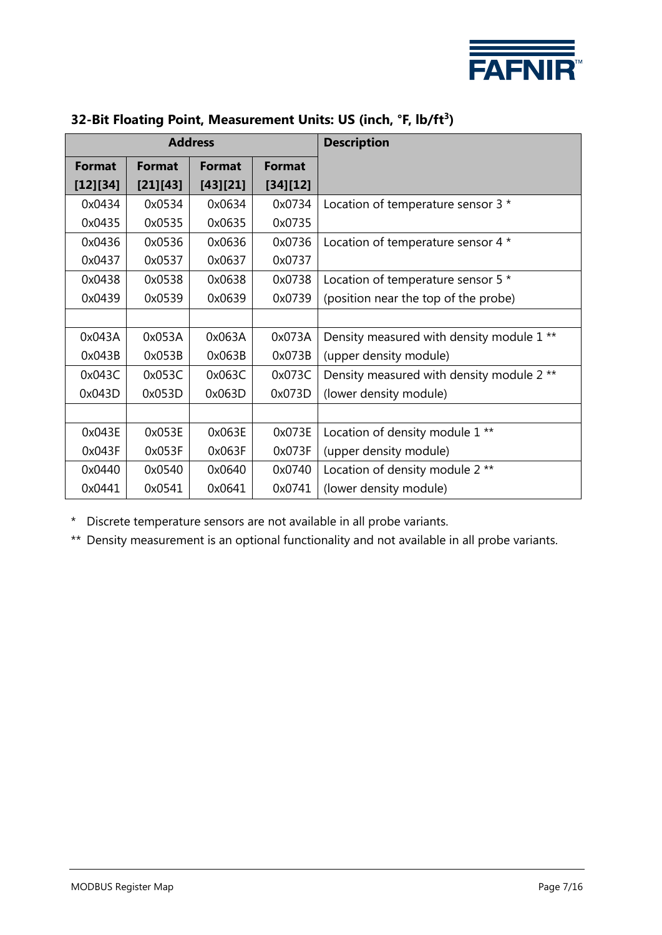

| <b>Address</b> |               |               | <b>Description</b> |                                           |
|----------------|---------------|---------------|--------------------|-------------------------------------------|
| <b>Format</b>  | <b>Format</b> | <b>Format</b> | <b>Format</b>      |                                           |
| $[12][34]$     | [21][43]      | [43][21]      | [34][12]           |                                           |
| 0x0434         | 0x0534        | 0x0634        | 0x0734             | Location of temperature sensor 3 *        |
| 0x0435         | 0x0535        | 0x0635        | 0x0735             |                                           |
| 0x0436         | 0x0536        | 0x0636        | 0x0736             | Location of temperature sensor 4 *        |
| 0x0437         | 0x0537        | 0x0637        | 0x0737             |                                           |
| 0x0438         | 0x0538        | 0x0638        | 0x0738             | Location of temperature sensor 5 *        |
| 0x0439         | 0x0539        | 0x0639        | 0x0739             | (position near the top of the probe)      |
|                |               |               |                    |                                           |
| 0x043A         | 0x053A        | 0x063A        | 0x073A             | Density measured with density module 1 ** |
| 0x043B         | 0x053B        | 0x063B        | 0x073B             | (upper density module)                    |
| 0x043C         | 0x053C        | 0x063C        | 0x073C             | Density measured with density module 2 ** |
| 0x043D         | 0x053D        | 0x063D        | 0x073D             | (lower density module)                    |
|                |               |               |                    |                                           |
| 0x043E         | 0x053E        | 0x063E        | 0x073E             | Location of density module 1 **           |
| 0x043F         | 0x053F        | 0x063F        | 0x073F             | (upper density module)                    |
| 0x0440         | 0x0540        | 0x0640        | 0x0740             | Location of density module 2 **           |
| 0x0441         | 0x0541        | 0x0641        | 0x0741             | (lower density module)                    |

# **32-Bit Floating Point, Measurement Units: US (inch, °F, lb/ft<sup>3</sup>)**

\* Discrete temperature sensors are not available in all probe variants.

\*\* Density measurement is an optional functionality and not available in all probe variants.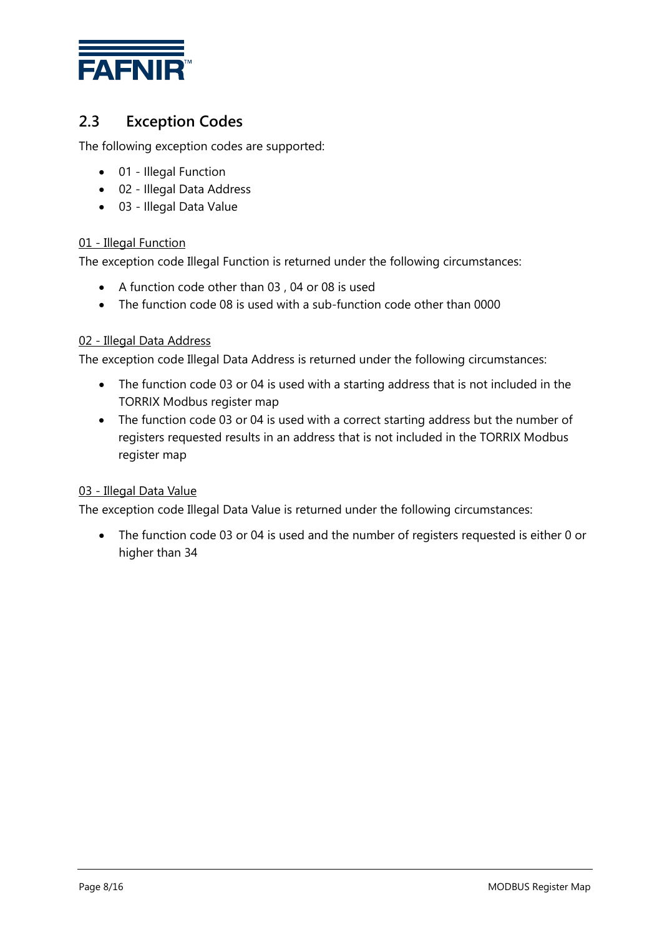

# <span id="page-9-0"></span>**2.3 Exception Codes**

The following exception codes are supported:

- 01 Illegal Function
- 02 Illegal Data Address
- 03 Illegal Data Value

#### 01 - Illegal Function

The exception code Illegal Function is returned under the following circumstances:

- A function code other than 03 , 04 or 08 is used
- The function code 08 is used with a sub-function code other than 0000

#### 02 - Illegal Data Address

The exception code Illegal Data Address is returned under the following circumstances:

- The function code 03 or 04 is used with a starting address that is not included in the TORRIX Modbus register map
- The function code 03 or 04 is used with a correct starting address but the number of registers requested results in an address that is not included in the TORRIX Modbus register map

#### 03 - Illegal Data Value

The exception code Illegal Data Value is returned under the following circumstances:

• The function code 03 or 04 is used and the number of registers requested is either 0 or higher than 34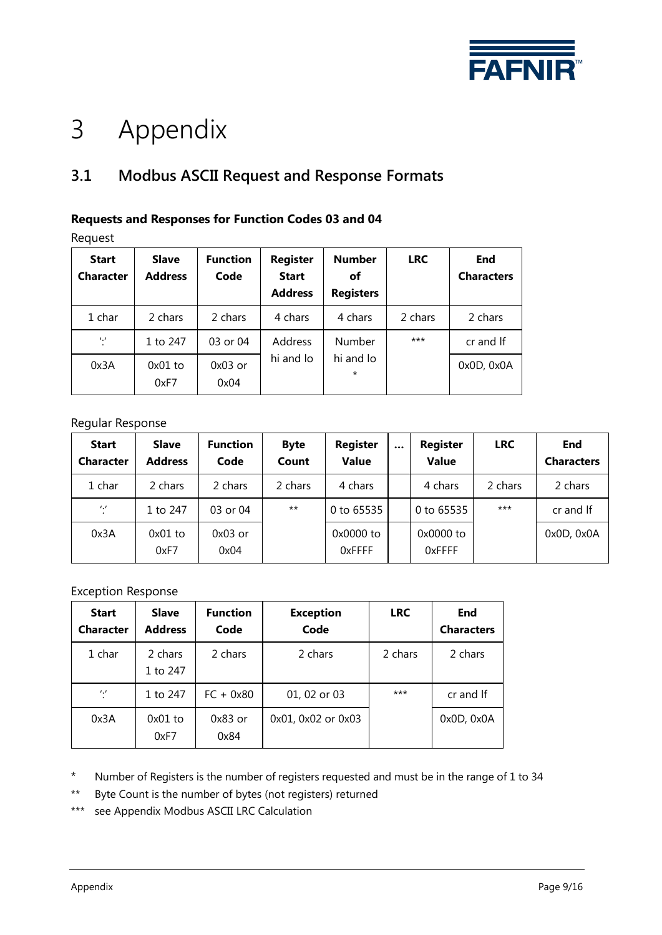

# <span id="page-10-0"></span>3 Appendix

# <span id="page-10-1"></span>**3.1 Modbus ASCII Request and Response Formats**

#### **Requests and Responses for Function Codes 03 and 04**

Request

| <b>Start</b><br><b>Character</b> | <b>Slave</b><br><b>Address</b> | <b>Function</b><br>Code | <b>Register</b><br><b>Start</b><br><b>Address</b> | <b>Number</b><br>оf<br><b>Registers</b> | <b>LRC</b> | End<br><b>Characters</b> |
|----------------------------------|--------------------------------|-------------------------|---------------------------------------------------|-----------------------------------------|------------|--------------------------|
| 1 char                           | 2 chars                        | 2 chars                 | 4 chars                                           | 4 chars                                 | 2 chars    | 2 chars                  |
| $\prime$ , $\prime$              | 1 to 247                       | 03 or 04                | Address                                           | Number                                  | $***$      | cr and If                |
| 0x3A                             | $0x01$ to<br>0xF7              | $0x03$ or<br>0x04       | hi and lo                                         | hi and lo<br>$\star$                    |            | 0x0D, 0x0A               |

#### Regular Response

| <b>Start</b><br><b>Character</b> | <b>Slave</b><br><b>Address</b> | <b>Function</b><br>Code | <b>Byte</b><br>Count | <b>Register</b><br><b>Value</b> | $\ddotsc$ | <b>Register</b><br><b>Value</b> | <b>LRC</b> | End<br><b>Characters</b> |
|----------------------------------|--------------------------------|-------------------------|----------------------|---------------------------------|-----------|---------------------------------|------------|--------------------------|
| 1 char                           | 2 chars                        | 2 chars                 | 2 chars              | 4 chars                         |           | 4 chars                         | 2 chars    | 2 chars                  |
| $^{\prime}$ .                    | 1 to 247                       | 03 or 04                | $***$                | 0 to 65535                      |           | 0 to 65535                      | $***$      | cr and If                |
| 0x3A                             | $0x01$ to<br>0xF7              | $0x03$ or<br>0x04       |                      | 0x0000 to<br>0xFFFF             |           | 0x0000 to<br>0xFFFF             |            | 0x0D, 0x0A               |

## Exception Response

| <b>Start</b><br><b>Character</b> | <b>Slave</b><br><b>Address</b> | <b>Function</b><br>Code | <b>Exception</b><br>Code | <b>LRC</b> | <b>End</b><br><b>Characters</b> |
|----------------------------------|--------------------------------|-------------------------|--------------------------|------------|---------------------------------|
| 1 char                           | 2 chars<br>1 to 247            | 2 chars                 | 2 chars                  | 2 chars    | 2 chars                         |
| $^{\prime}$ .                    | 1 to 247                       | $FC + 0x80$             | 01, 02 or 03             | $***$      | cr and If                       |
| 0x3A                             | $0x01$ to<br>0xF7              | $0x83$ or<br>0x84       | 0x01, 0x02 or 0x03       |            | 0x0D, 0x0A                      |

\* Number of Registers is the number of registers requested and must be in the range of 1 to 34

\*\* Byte Count is the number of bytes (not registers) returned

\*\*\* see Appendix Modbus ASCII LRC Calculation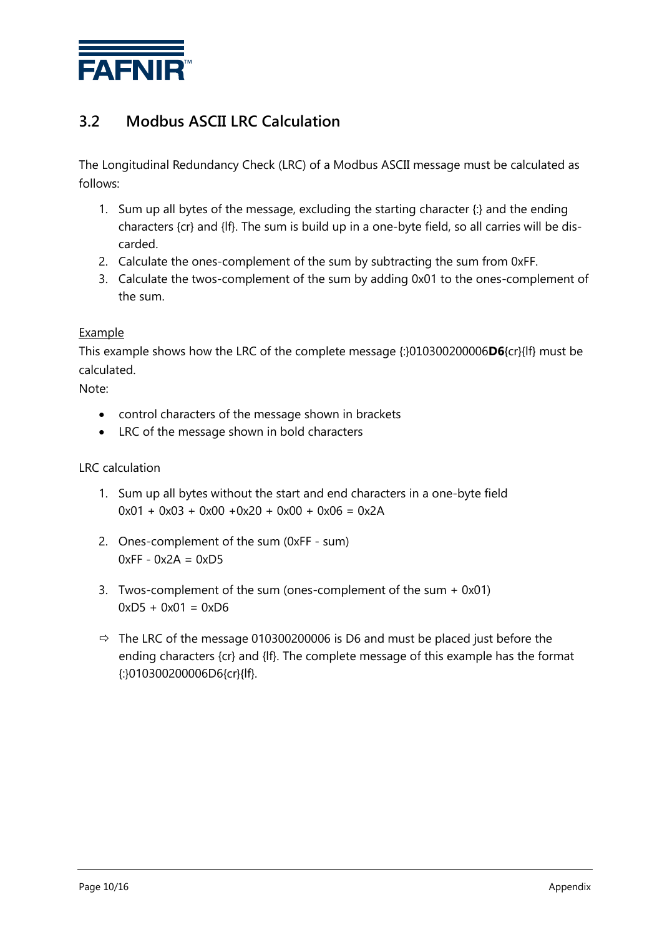

# <span id="page-11-0"></span>**3.2 Modbus ASCII LRC Calculation**

The Longitudinal Redundancy Check (LRC) of a Modbus ASCII message must be calculated as follows:

- 1. Sum up all bytes of the message, excluding the starting character {:} and the ending characters {cr} and {lf}. The sum is build up in a one-byte field, so all carries will be discarded.
- 2. Calculate the ones-complement of the sum by subtracting the sum from 0xFF.
- 3. Calculate the twos-complement of the sum by adding 0x01 to the ones-complement of the sum.

#### **Example**

This example shows how the LRC of the complete message {:}010300200006**D6**{cr}{lf} must be calculated.

Note:

- control characters of the message shown in brackets
- LRC of the message shown in bold characters

#### LRC calculation

- 1. Sum up all bytes without the start and end characters in a one-byte field  $0x01 + 0x03 + 0x00 + 0x20 + 0x00 + 0x06 = 0x2A$
- 2. Ones-complement of the sum (0xFF sum)  $0xFF - 0x2A = 0xD5$
- 3. Twos-complement of the sum (ones-complement of the sum + 0x01)  $0xD5 + 0x01 = 0xD6$
- $\Rightarrow$  The LRC of the message 010300200006 is D6 and must be placed just before the ending characters {cr} and {lf}. The complete message of this example has the format {:}010300200006D6{cr}{lf}.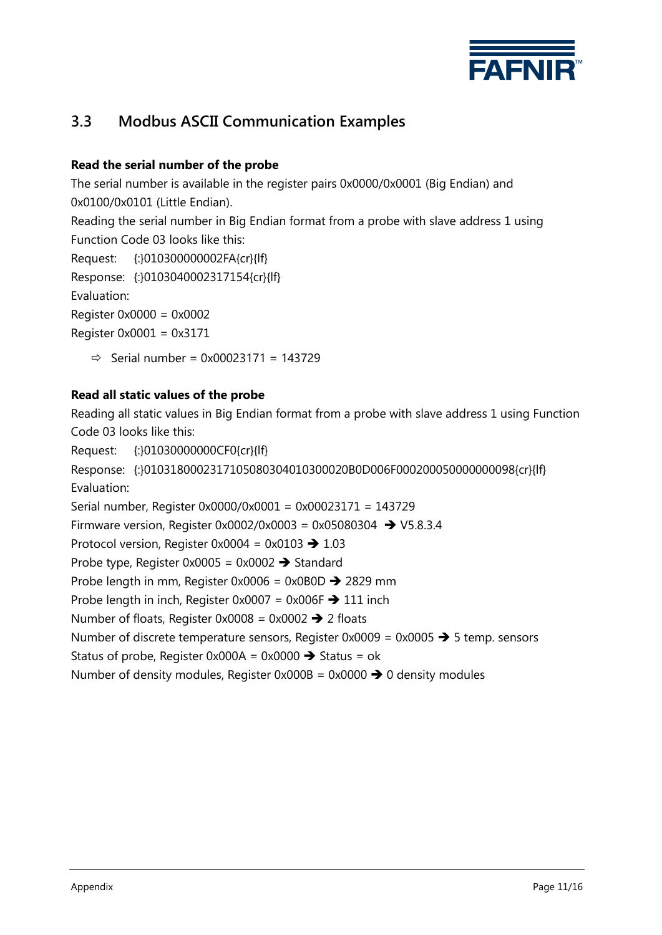

# <span id="page-12-0"></span>**3.3 Modbus ASCII Communication Examples**

## **Read the serial number of the probe**

The serial number is available in the register pairs 0x0000/0x0001 (Big Endian) and 0x0100/0x0101 (Little Endian).

Reading the serial number in Big Endian format from a probe with slave address 1 using Function Code 03 looks like this:

```
Request: {:}010300000002FA{cr}{lf}
Response: {:}0103040002317154{cr}{lf}
Evaluation:
Register 0x0000 = 0x0002Register 0x0001 = 0x3171
```
 $\Rightarrow$  Serial number = 0x00023171 = 143729

## **Read all static values of the probe**

Reading all static values in Big Endian format from a probe with slave address 1 using Function Code 03 looks like this:

Request: {:}01030000000CF0{cr}{lf}

Response: {:}0103180002317105080304010300020B0D006F000200050000000098{cr}{lf} Evaluation:

Serial number, Register 0x0000/0x0001 = 0x00023171 = 143729

Firmware version, Register 0x0002/0x0003 = 0x05080304  $\rightarrow$  V5.8.3.4

Protocol version, Register 0x0004 =  $0x0103 \rightarrow 1.03$ 

Probe type, Register 0x0005 = 0x0002  $\rightarrow$  Standard

Probe length in mm, Register  $0x0006 = 0x0B0D \rightarrow 2829$  mm

Probe length in inch, Register  $0 \times 0007 = 0 \times 006F \rightarrow 111$  inch

Number of floats, Register 0x0008 = 0x0002  $\rightarrow$  2 floats

Number of discrete temperature sensors, Register 0x0009 = 0x0005  $\rightarrow$  5 temp. sensors

Status of probe, Register 0x000A =  $0x0000 \rightarrow$  Status = ok

Number of density modules, Register 0x000B = 0x0000  $\rightarrow$  0 density modules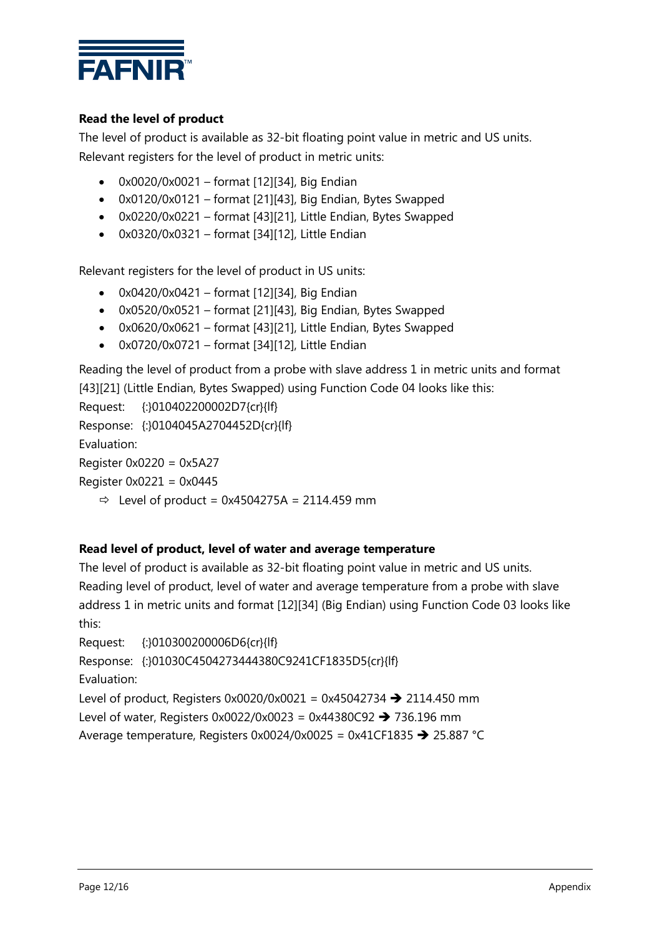

#### **Read the level of product**

The level of product is available as 32-bit floating point value in metric and US units. Relevant registers for the level of product in metric units:

- 0x0020/0x0021 format [12][34], Big Endian
- 0x0120/0x0121 format [21][43], Big Endian, Bytes Swapped
- 0x0220/0x0221 format [43][21], Little Endian, Bytes Swapped
- 0x0320/0x0321 format [34][12], Little Endian

Relevant registers for the level of product in US units:

- 0x0420/0x0421 format [12][34], Big Endian
- $0x0520/0x0521$  format [21][43], Big Endian, Bytes Swapped
- 0x0620/0x0621 format [43][21], Little Endian, Bytes Swapped
- 0x0720/0x0721 format [34][12], Little Endian

Reading the level of product from a probe with slave address 1 in metric units and format [43][21] (Little Endian, Bytes Swapped) using Function Code 04 looks like this:

Request: {:}010402200002D7{cr}{lf}

Response: {:}0104045A2704452D{cr}{lf}

Evaluation:

Register  $0x0220 = 0x5A27$ 

Register  $0x0221 = 0x0445$ 

 $\Rightarrow$  Level of product = 0x4504275A = 2114.459 mm

#### **Read level of product, level of water and average temperature**

The level of product is available as 32-bit floating point value in metric and US units. Reading level of product, level of water and average temperature from a probe with slave address 1 in metric units and format [12][34] (Big Endian) using Function Code 03 looks like this:

Request: {:}010300200006D6{cr}{lf}

Response: {:}01030C4504273444380C9241CF1835D5{cr}{lf} Evaluation:

Level of product, Registers  $0x0020/0x0021 = 0x45042734$   $\rightarrow$  2114.450 mm

Level of water, Registers 0x0022/0x0023 = 0x44380C92  $\rightarrow$  736.196 mm

Average temperature, Registers  $0 \times 0024/0 \times 0025 = 0 \times 41$ CF1835  $\rightarrow 25.887$  °C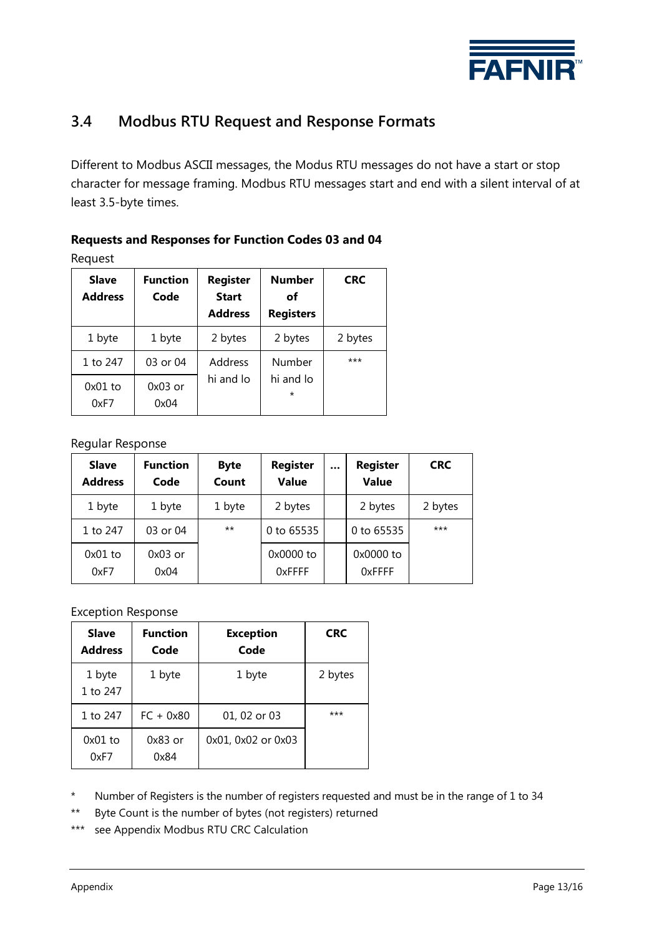

# <span id="page-14-0"></span>**3.4 Modbus RTU Request and Response Formats**

Different to Modbus ASCII messages, the Modus RTU messages do not have a start or stop character for message framing. Modbus RTU messages start and end with a silent interval of at least 3.5-byte times.

## **Requests and Responses for Function Codes 03 and 04**

Request

| <b>Slave</b><br><b>Address</b> | <b>Function</b><br>Code | <b>Register</b><br><b>Start</b><br><b>Address</b> | <b>Number</b><br>of<br><b>Registers</b> | <b>CRC</b> |
|--------------------------------|-------------------------|---------------------------------------------------|-----------------------------------------|------------|
| 1 byte                         | 1 byte                  | 2 bytes                                           | 2 bytes                                 | 2 bytes    |
| 1 to 247                       | 03 or 04                | Address                                           | Number                                  | $***$      |
| $0x01$ to<br>0xF7              | $0x03$ or<br>0x04       | hi and lo                                         | hi and lo<br>$\star$                    |            |

#### Regular Response

| <b>Slave</b><br><b>Address</b> | <b>Function</b><br>Code | <b>Byte</b><br>Count | <b>Register</b><br><b>Value</b> | $\cdots$ | <b>Register</b><br><b>Value</b> | <b>CRC</b> |
|--------------------------------|-------------------------|----------------------|---------------------------------|----------|---------------------------------|------------|
| 1 byte                         | 1 byte                  | 1 byte               | 2 bytes                         |          | 2 bytes                         | 2 bytes    |
| 1 to 247                       | 03 or 04                | $***$                | 0 to 65535                      |          | 0 to 65535                      | $***$      |
| $0x01$ to<br>0xF7              | $0x03$ or<br>0x04       |                      | 0x0000 to<br>0xFFFF             |          | 0x0000 to<br>0xFFFF             |            |

#### Exception Response

| <b>Slave</b><br><b>Address</b> | <b>Function</b><br>Code | <b>Exception</b><br>Code | <b>CRC</b> |
|--------------------------------|-------------------------|--------------------------|------------|
| 1 byte<br>1 to 247             | 1 byte                  | 1 byte                   | 2 bytes    |
| 1 to 247                       | $FC + 0x80$             | 01, 02 or 03             | $***$      |
| $0x01$ to<br>0xF7              | $0x83$ or<br>0x84       | 0x01, 0x02 or 0x03       |            |

\* Number of Registers is the number of registers requested and must be in the range of 1 to 34

\*\* Byte Count is the number of bytes (not registers) returned

\*\*\* see Appendix Modbus RTU CRC Calculation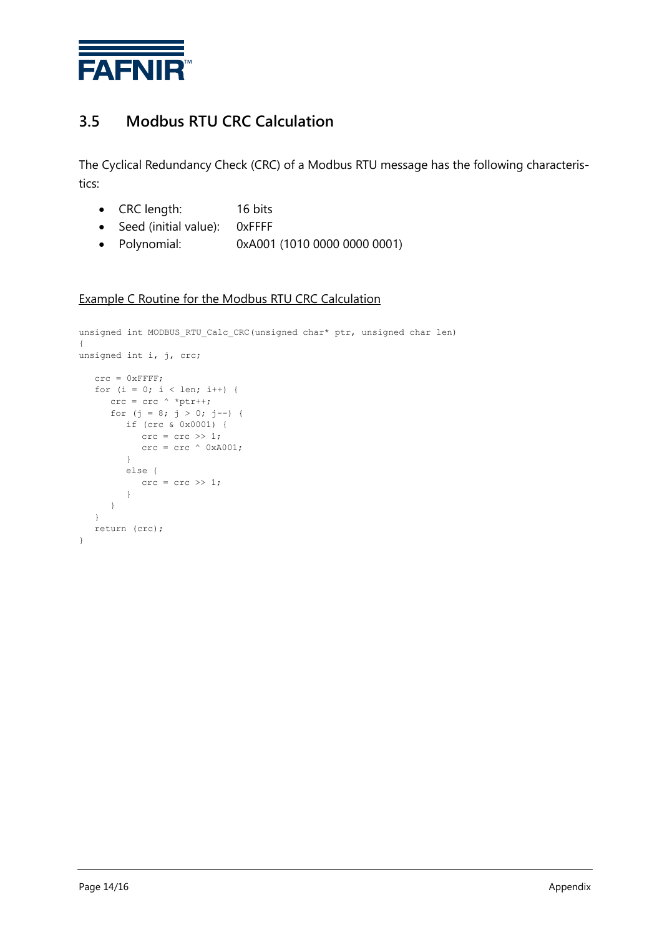

# <span id="page-15-0"></span>**3.5 Modbus RTU CRC Calculation**

The Cyclical Redundancy Check (CRC) of a Modbus RTU message has the following characteristics:

- CRC length: 16 bits
- Seed (initial value): 0xFFFF
- Polynomial: 0xA001 (1010 0000 0000 0001)

## Example C Routine for the Modbus RTU CRC Calculation

```
unsigned int MODBUS_RTU_Calc_CRC(unsigned char* ptr, unsigned char len)
{
unsigned int i, j, crc;
   crc = 0xFFFF;
   for (i = 0; i < len; i++) {
       \text{circ} = \text{circ} \land \text{*ptr++};for (j = 8; j > 0; j--) {
           if (crc & 0x0001) {
               \text{crc} = \text{crc} \gg 1;\text{crc} = \text{crc} \land 0 \text{xA001};}
           else {
               \text{crc} = \text{crc} \gg 1;}
       }
    }
    return (crc);
}
```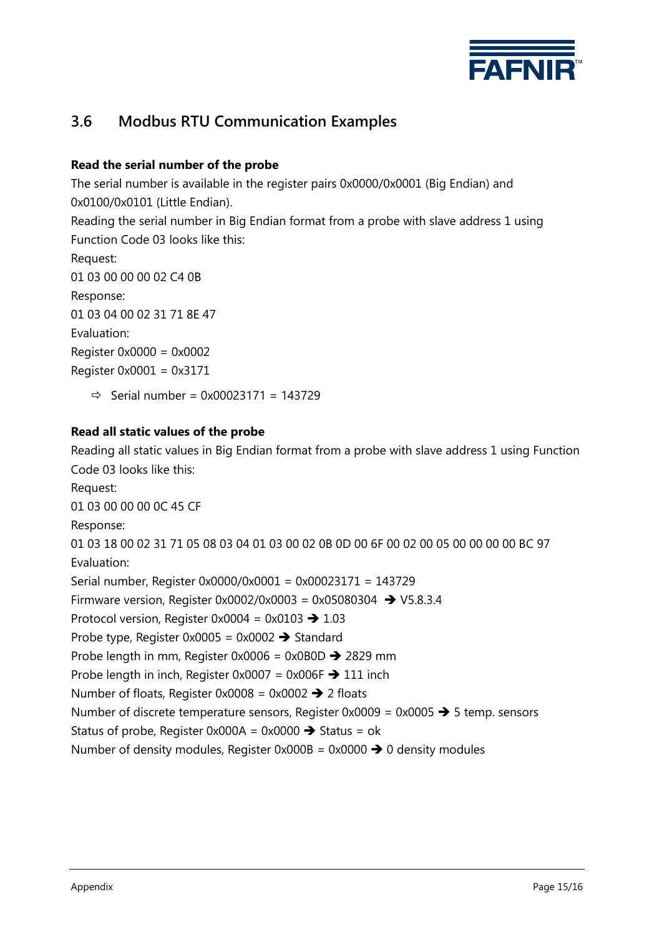

# <span id="page-16-0"></span>**3.6 Modbus RTU Communication Examples**

## **Read the serial number of the probe**

The serial number is available in the register pairs 0x0000/0x0001 (Big Endian) and 0x0100/0x0101 (Little Endian). Reading the serial number in Big Endian format from a probe with slave address 1 using Function Code 03 looks like this: Request: 01 03 00 00 00 02 C4 0B Response: 01 03 04 00 02 31 71 8E 47 Evaluation: Register 0x0000 = 0x0002 Register 0x0001 = 0x3171  $\Rightarrow$  Serial number = 0x00023171 = 143729

#### **Read all static values of the probe**

Reading all static values in Big Endian format from a probe with slave address 1 using Function Code 03 looks like this: Request: 01 03 00 00 00 0C 45 CF Response: 01 03 18 00 02 31 71 05 08 03 04 01 03 00 02 0B 0D 00 6F 00 02 00 05 00 00 00 00 BC 97 Evaluation: Serial number, Register 0x0000/0x0001 = 0x00023171 = 143729 Firmware version, Register 0x0002/0x0003 = 0x05080304  $\rightarrow$  V5.8.3.4 Protocol version, Register 0x0004 =  $0x0103 \rightarrow 1.03$ Probe type, Register 0x0005 = 0x0002  $\rightarrow$  Standard Probe length in mm, Register  $0x0006 = 0x0B0D \rightarrow 2829$  mm Probe length in inch, Register  $0 \times 0007 = 0 \times 006F \rightarrow 111$  inch Number of floats, Register 0x0008 = 0x0002  $\rightarrow$  2 floats Number of discrete temperature sensors, Register 0x0009 = 0x0005  $\rightarrow$  5 temp. sensors Status of probe, Register 0x000A =  $0x0000 \rightarrow$  Status = ok Number of density modules, Register 0x000B = 0x0000  $\rightarrow$  0 density modules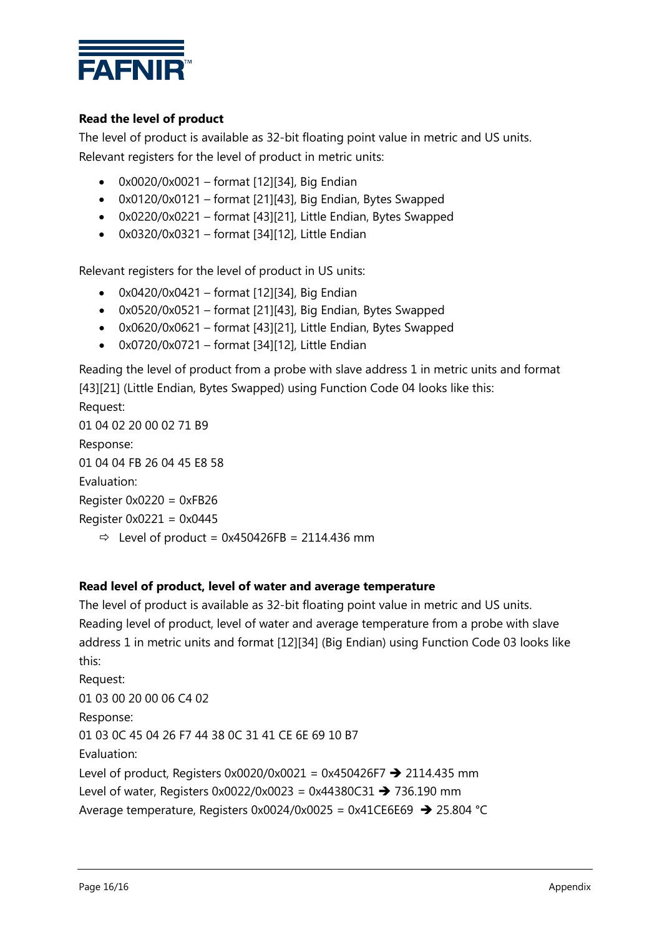

#### **Read the level of product**

The level of product is available as 32-bit floating point value in metric and US units. Relevant registers for the level of product in metric units:

- 0x0020/0x0021 format [12][34], Big Endian
- 0x0120/0x0121 format [21][43], Big Endian, Bytes Swapped
- 0x0220/0x0221 format [43][21], Little Endian, Bytes Swapped
- 0x0320/0x0321 format [34][12], Little Endian

Relevant registers for the level of product in US units:

- 0x0420/0x0421 format [12][34], Big Endian
- $0x0520/0x0521$  format [21][43], Big Endian, Bytes Swapped
- 0x0620/0x0621 format [43][21], Little Endian, Bytes Swapped
- 0x0720/0x0721 format [34][12], Little Endian

Reading the level of product from a probe with slave address 1 in metric units and format [43][21] (Little Endian, Bytes Swapped) using Function Code 04 looks like this:

Request: 01 04 02 20 00 02 71 B9 Response: 01 04 04 FB 26 04 45 E8 58 Evaluation: Register  $0 \times 0220 = 0 \times F B26$ Register 0x0221 = 0x0445  $\Rightarrow$  Level of product = 0x450426FB = 2114.436 mm

#### **Read level of product, level of water and average temperature**

The level of product is available as 32-bit floating point value in metric and US units. Reading level of product, level of water and average temperature from a probe with slave address 1 in metric units and format [12][34] (Big Endian) using Function Code 03 looks like this: Request: 01 03 00 20 00 06 C4 02 Response: 01 03 0C 45 04 26 F7 44 38 0C 31 41 CE 6E 69 10 B7 Evaluation: Level of product, Registers  $0x0020/0x0021 = 0x450426F7$   $\rightarrow$  2114.435 mm Level of water, Registers 0x0022/0x0023 = 0x44380C31  $\rightarrow$  736.190 mm Average temperature, Registers  $0 \times 0024/0 \times 0025 = 0 \times 41$ CE6E69  $\rightarrow$  25.804 °C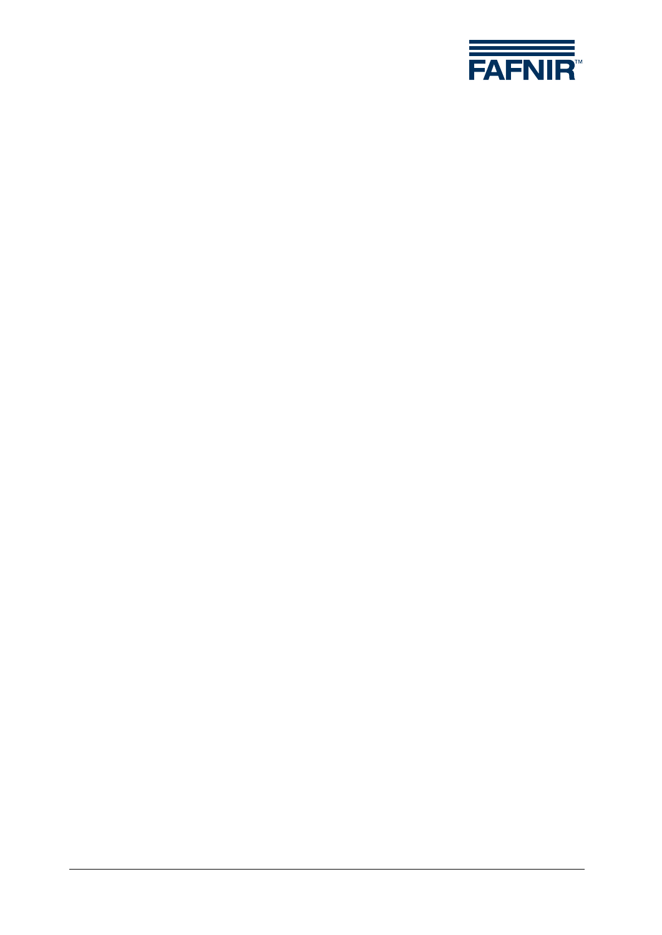